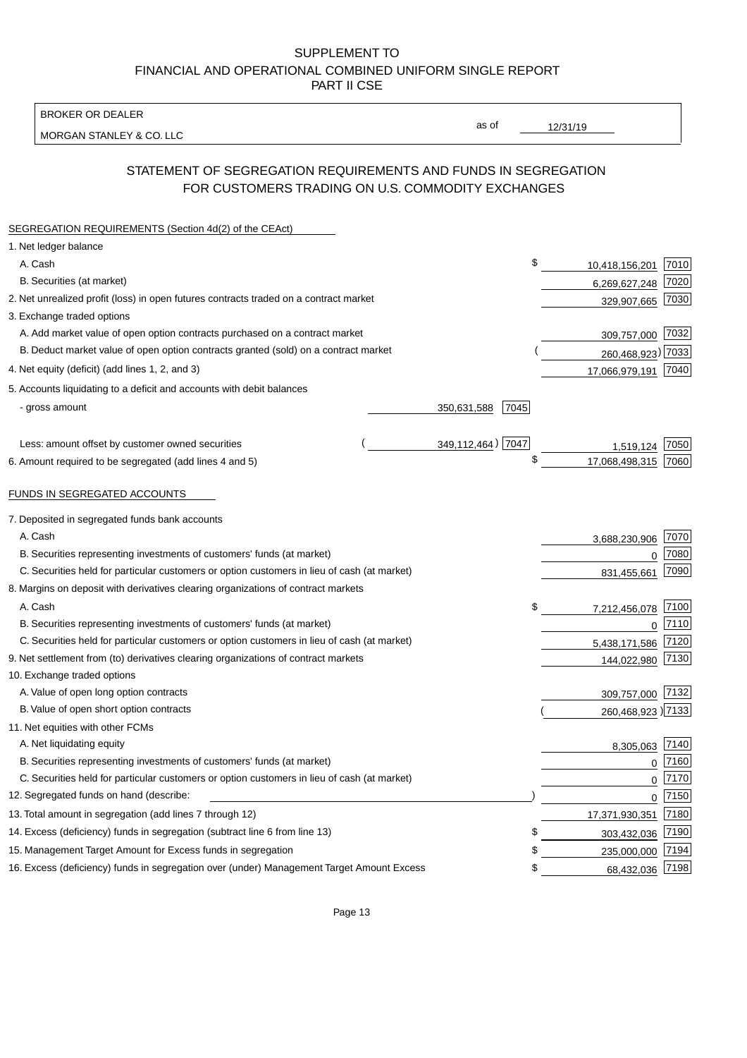BROKER OR DEALER

MORGAN STANLEY & CO. LLC

12/31/19

as of

# STATEMENT OF SEGREGATION REQUIREMENTS AND FUNDS IN SEGREGATION FOR CUSTOMERS TRADING ON U.S. COMMODITY EXCHANGES

| SEGREGATION REQUIREMENTS (Section 4d(2) of the CEAct)                                       |                     |                     |          |
|---------------------------------------------------------------------------------------------|---------------------|---------------------|----------|
| 1. Net ledger balance                                                                       |                     |                     |          |
| A. Cash                                                                                     | \$                  | 10,418,156,201      | 7010     |
| B. Securities (at market)                                                                   |                     | 6,269,627,248       | 7020     |
| 2. Net unrealized profit (loss) in open futures contracts traded on a contract market       |                     | 329,907,665         | 7030     |
| 3. Exchange traded options                                                                  |                     |                     |          |
| A. Add market value of open option contracts purchased on a contract market                 |                     | 309,757,000 7032    |          |
| B. Deduct market value of open option contracts granted (sold) on a contract market         |                     | 260,468,923) 7033   |          |
| 4. Net equity (deficit) (add lines 1, 2, and 3)                                             |                     | 17,066,979,191 7040 |          |
| 5. Accounts liquidating to a deficit and accounts with debit balances                       |                     |                     |          |
| - gross amount                                                                              | 350,631,588<br>7045 |                     |          |
|                                                                                             |                     |                     |          |
| Less: amount offset by customer owned securities                                            | 349,112,464) 7047   | 1,519,124           | 7050     |
| 6. Amount required to be segregated (add lines 4 and 5)                                     | \$                  | 17,068,498,315      | 7060     |
|                                                                                             |                     |                     |          |
| FUNDS IN SEGREGATED ACCOUNTS                                                                |                     |                     |          |
| 7. Deposited in segregated funds bank accounts                                              |                     |                     |          |
| A. Cash                                                                                     |                     | 3,688,230,906       | 7070     |
| B. Securities representing investments of customers' funds (at market)                      |                     | 0                   | 7080     |
| C. Securities held for particular customers or option customers in lieu of cash (at market) |                     | 831,455,661         | 7090     |
| 8. Margins on deposit with derivatives clearing organizations of contract markets           |                     |                     |          |
| A. Cash                                                                                     | \$                  | 7,212,456,078       | 7100     |
| B. Securities representing investments of customers' funds (at market)                      |                     | 0                   | 7110     |
| C. Securities held for particular customers or option customers in lieu of cash (at market) |                     | 5,438,171,586       | 7120     |
| 9. Net settlement from (to) derivatives clearing organizations of contract markets          |                     | 144,022,980         | 7130     |
| 10. Exchange traded options                                                                 |                     |                     |          |
| A. Value of open long option contracts                                                      |                     | 309,757,000 7132    |          |
| B. Value of open short option contracts                                                     |                     | 260,468,923) 7133   |          |
| 11. Net equities with other FCMs                                                            |                     |                     |          |
| A. Net liquidating equity                                                                   |                     | 8,305,063 7140      |          |
| B. Securities representing investments of customers' funds (at market)                      |                     | $\mathbf 0$         | 7160     |
| C. Securities held for particular customers or option customers in lieu of cash (at market) |                     | $\mathbf 0$         | 7170     |
| 12. Segregated funds on hand (describe:                                                     |                     |                     | $0$ 7150 |
| 13. Total amount in segregation (add lines 7 through 12)                                    |                     | 17,371,930,351      | 7180     |
| 14. Excess (deficiency) funds in segregation (subtract line 6 from line 13)                 | S                   | 303,432,036         | 7190     |
| 15. Management Target Amount for Excess funds in segregation                                | \$                  | 235,000,000         | 7194     |
| 16. Excess (deficiency) funds in segregation over (under) Management Target Amount Excess   | \$                  | 68,432,036          | 7198     |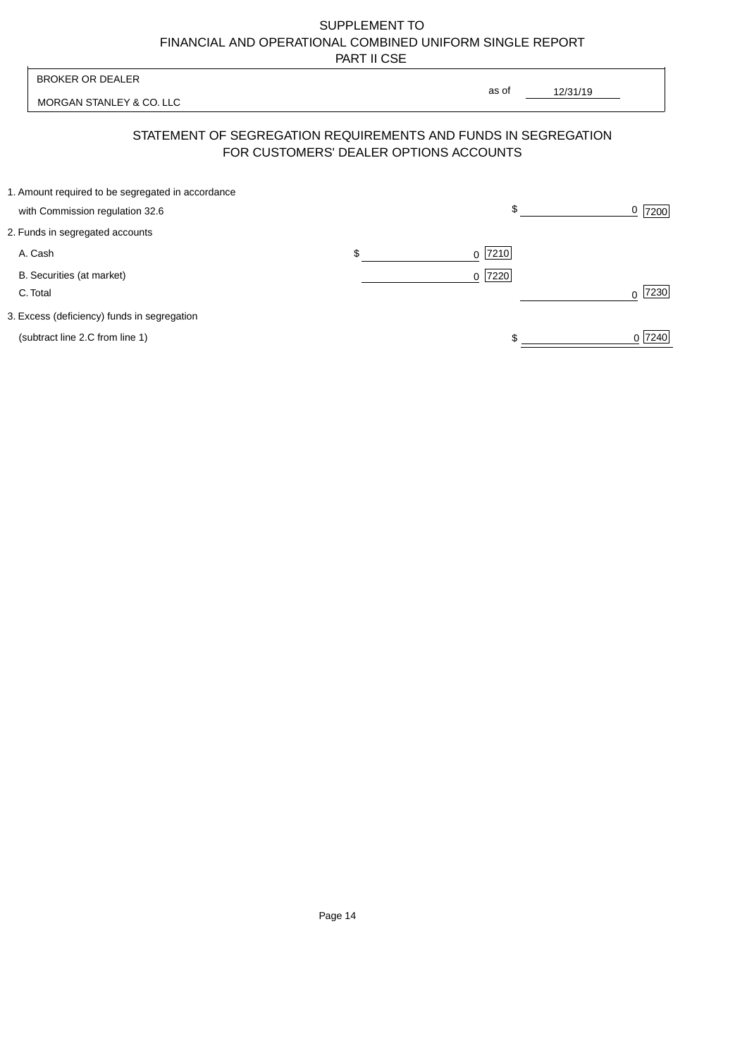| <b>BROKER OR DEALER</b>                                                                                  | as of               |                     |
|----------------------------------------------------------------------------------------------------------|---------------------|---------------------|
| MORGAN STANLEY & CO. LLC                                                                                 | 12/31/19            |                     |
| STATEMENT OF SEGREGATION REQUIREMENTS AND FUNDS IN SEGREGATION<br>FOR CUSTOMERS' DEALER OPTIONS ACCOUNTS |                     |                     |
| 1. Amount required to be segregated in accordance<br>with Commission regulation 32.6                     | \$                  | $\frac{0}{2}$  7200 |
| 2. Funds in segregated accounts                                                                          |                     |                     |
| \$<br>A. Cash                                                                                            | $ 7210$<br>$\Omega$ |                     |
| B. Securities (at market)<br>C. Total                                                                    | 7220<br>$\Omega$    | 7230                |
| 3. Excess (deficiency) funds in segregation                                                              |                     |                     |
| (subtract line 2.C from line 1)                                                                          |                     | 0 7240              |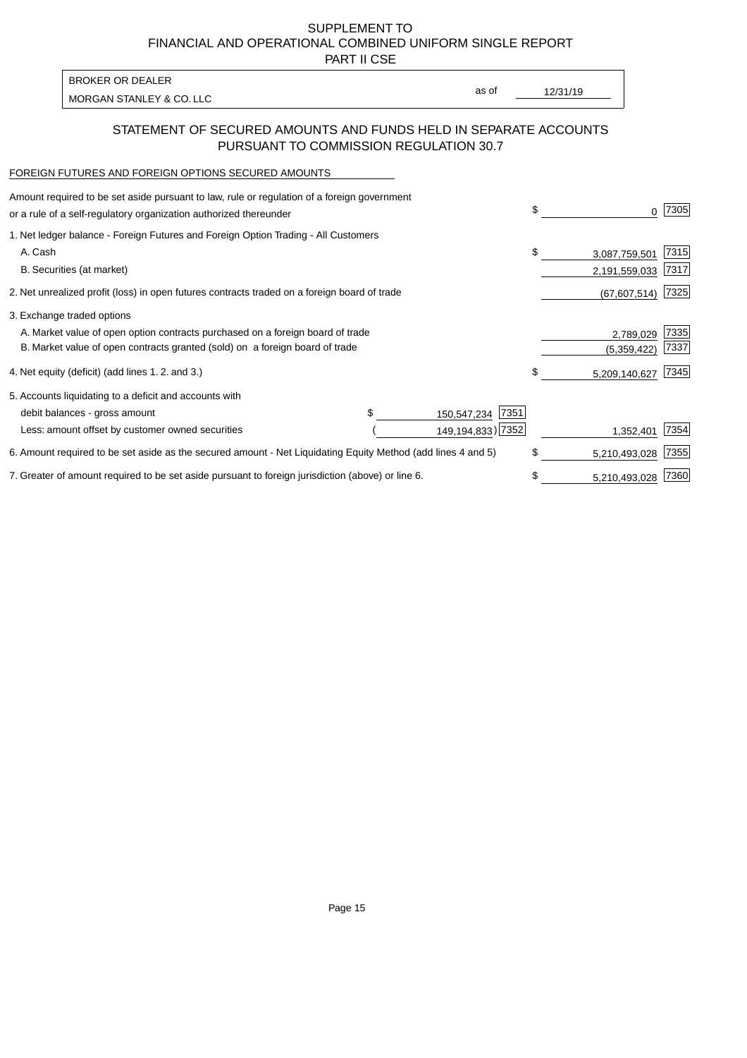PART II CSE

| BROKER OR DEALER         |       |          |
|--------------------------|-------|----------|
| MORGAN STANLEY & CO. LLC | as of | 12/31/19 |
|                          |       |          |

### STATEMENT OF SECURED AMOUNTS AND FUNDS HELD IN SEPARATE ACCOUNTS PURSUANT TO COMMISSION REGULATION 30.7

#### FOREIGN FUTURES AND FOREIGN OPTIONS SECURED AMOUNTS

| Amount required to be set aside pursuant to law, rule or regulation of a foreign government<br>or a rule of a self-regulatory organization authorized thereunder |                     | \$<br>0             | 7305 |
|------------------------------------------------------------------------------------------------------------------------------------------------------------------|---------------------|---------------------|------|
| 1. Net ledger balance - Foreign Futures and Foreign Option Trading - All Customers                                                                               |                     |                     |      |
| A. Cash                                                                                                                                                          |                     | \$<br>3,087,759,501 | 7315 |
| B. Securities (at market)                                                                                                                                        |                     | 2,191,559,033       | 7317 |
| 2. Net unrealized profit (loss) in open futures contracts traded on a foreign board of trade                                                                     |                     | (67, 607, 514)      | 7325 |
| 3. Exchange traded options                                                                                                                                       |                     |                     |      |
| A. Market value of open option contracts purchased on a foreign board of trade                                                                                   |                     | 2,789,029           | 7335 |
| B. Market value of open contracts granted (sold) on a foreign board of trade                                                                                     |                     | (5,359,422)         | 7337 |
| 4. Net equity (deficit) (add lines 1. 2. and 3.)                                                                                                                 |                     | \$<br>5,209,140,627 | 7345 |
| 5. Accounts liquidating to a deficit and accounts with                                                                                                           |                     |                     |      |
| debit balances - gross amount                                                                                                                                    | 7351<br>150,547,234 |                     |      |
| Less: amount offset by customer owned securities                                                                                                                 | 149,194,833) 7352   | 1,352,401           | 7354 |
| 6. Amount required to be set aside as the secured amount - Net Liquidating Equity Method (add lines 4 and 5)                                                     |                     | \$<br>5,210,493,028 | 7355 |
| 7. Greater of amount required to be set aside pursuant to foreign jurisdiction (above) or line 6.                                                                |                     | \$<br>5,210,493,028 | 7360 |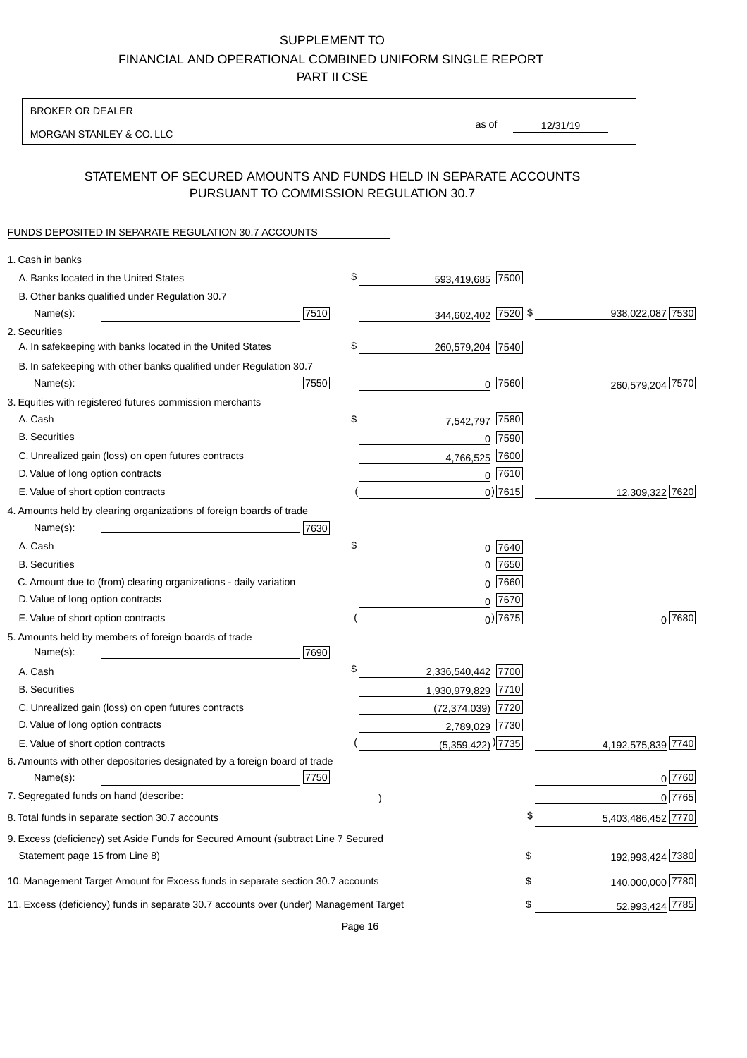BROKER OR DEALER

MORGAN STANLEY & CO. LLC

12/31/19 as of

# STATEMENT OF SECURED AMOUNTS AND FUNDS HELD IN SEPARATE ACCOUNTS PURSUANT TO COMMISSION REGULATION 30.7

#### FUNDS DEPOSITED IN SEPARATE REGULATION 30.7 ACCOUNTS

| \$<br>A. Banks located in the United States<br>593,419,685 7500<br>B. Other banks qualified under Regulation 30.7<br>7510<br>344,602,402 7520 \$<br>938,022,087 7530<br>Name(s):<br>2. Securities<br>\$<br>A. In safekeeping with banks located in the United States<br>260,579,204 7540<br>B. In safekeeping with other banks qualified under Regulation 30.7<br>7550<br>$0$ 7560<br>260,579,204 7570<br>Name(s):<br>3. Equities with registered futures commission merchants<br>A. Cash<br>\$<br>7580<br>7,542,797<br><b>B.</b> Securities<br>$0$ 7590<br>7600<br>C. Unrealized gain (loss) on open futures contracts<br>4,766,525<br>$0$ 7610<br>D. Value of long option contracts<br>$0)$ 7615<br>12,309,322 7620<br>E. Value of short option contracts<br>4. Amounts held by clearing organizations of foreign boards of trade<br>Name(s):<br>7630<br>A. Cash<br>\$<br>0 7640<br>$0$ 7650<br><b>B.</b> Securities<br>C. Amount due to (from) clearing organizations - daily variation<br>$0$ 7660<br>D. Value of long option contracts<br>0 7670<br>$_0$ ) 7675<br>$0^{7680}$<br>E. Value of short option contracts<br>5. Amounts held by members of foreign boards of trade<br>Name(s):<br>7690<br>\$<br>A. Cash<br>2,336,540,442 7700<br><b>B.</b> Securities<br>1,930,979,829 7710<br>C. Unrealized gain (loss) on open futures contracts<br>(72,374,039) 7720<br>D. Value of long option contracts<br>2,789,029 7730<br>$(5,359,422)$ <sup>)</sup> 7735<br>E. Value of short option contracts<br>4,192,575,839 7740<br>6. Amounts with other depositories designated by a foreign board of trade<br>7750<br>Name(s):<br>$0$ 7760<br>7. Segregated funds on hand (describe:<br>0 7765<br>5,403,486,452 7770<br>8. Total funds in separate section 30.7 accounts<br>9. Excess (deficiency) set Aside Funds for Secured Amount (subtract Line 7 Secured<br>192,993,424 7380<br>\$<br>Statement page 15 from Line 8)<br>140,000,000 7780<br>10. Management Target Amount for Excess funds in separate section 30.7 accounts<br>\$<br>52,993,424 7785<br>11. Excess (deficiency) funds in separate 30.7 accounts over (under) Management Target<br>\$ | 1. Cash in banks |  |  |
|-----------------------------------------------------------------------------------------------------------------------------------------------------------------------------------------------------------------------------------------------------------------------------------------------------------------------------------------------------------------------------------------------------------------------------------------------------------------------------------------------------------------------------------------------------------------------------------------------------------------------------------------------------------------------------------------------------------------------------------------------------------------------------------------------------------------------------------------------------------------------------------------------------------------------------------------------------------------------------------------------------------------------------------------------------------------------------------------------------------------------------------------------------------------------------------------------------------------------------------------------------------------------------------------------------------------------------------------------------------------------------------------------------------------------------------------------------------------------------------------------------------------------------------------------------------------------------------------------------------------------------------------------------------------------------------------------------------------------------------------------------------------------------------------------------------------------------------------------------------------------------------------------------------------------------------------------------------------------------------------------------------------------------------------------------------------------------------------------------------------------------------------------------------|------------------|--|--|
|                                                                                                                                                                                                                                                                                                                                                                                                                                                                                                                                                                                                                                                                                                                                                                                                                                                                                                                                                                                                                                                                                                                                                                                                                                                                                                                                                                                                                                                                                                                                                                                                                                                                                                                                                                                                                                                                                                                                                                                                                                                                                                                                                           |                  |  |  |
|                                                                                                                                                                                                                                                                                                                                                                                                                                                                                                                                                                                                                                                                                                                                                                                                                                                                                                                                                                                                                                                                                                                                                                                                                                                                                                                                                                                                                                                                                                                                                                                                                                                                                                                                                                                                                                                                                                                                                                                                                                                                                                                                                           |                  |  |  |
|                                                                                                                                                                                                                                                                                                                                                                                                                                                                                                                                                                                                                                                                                                                                                                                                                                                                                                                                                                                                                                                                                                                                                                                                                                                                                                                                                                                                                                                                                                                                                                                                                                                                                                                                                                                                                                                                                                                                                                                                                                                                                                                                                           |                  |  |  |
|                                                                                                                                                                                                                                                                                                                                                                                                                                                                                                                                                                                                                                                                                                                                                                                                                                                                                                                                                                                                                                                                                                                                                                                                                                                                                                                                                                                                                                                                                                                                                                                                                                                                                                                                                                                                                                                                                                                                                                                                                                                                                                                                                           |                  |  |  |
|                                                                                                                                                                                                                                                                                                                                                                                                                                                                                                                                                                                                                                                                                                                                                                                                                                                                                                                                                                                                                                                                                                                                                                                                                                                                                                                                                                                                                                                                                                                                                                                                                                                                                                                                                                                                                                                                                                                                                                                                                                                                                                                                                           |                  |  |  |
|                                                                                                                                                                                                                                                                                                                                                                                                                                                                                                                                                                                                                                                                                                                                                                                                                                                                                                                                                                                                                                                                                                                                                                                                                                                                                                                                                                                                                                                                                                                                                                                                                                                                                                                                                                                                                                                                                                                                                                                                                                                                                                                                                           |                  |  |  |
|                                                                                                                                                                                                                                                                                                                                                                                                                                                                                                                                                                                                                                                                                                                                                                                                                                                                                                                                                                                                                                                                                                                                                                                                                                                                                                                                                                                                                                                                                                                                                                                                                                                                                                                                                                                                                                                                                                                                                                                                                                                                                                                                                           |                  |  |  |
|                                                                                                                                                                                                                                                                                                                                                                                                                                                                                                                                                                                                                                                                                                                                                                                                                                                                                                                                                                                                                                                                                                                                                                                                                                                                                                                                                                                                                                                                                                                                                                                                                                                                                                                                                                                                                                                                                                                                                                                                                                                                                                                                                           |                  |  |  |
|                                                                                                                                                                                                                                                                                                                                                                                                                                                                                                                                                                                                                                                                                                                                                                                                                                                                                                                                                                                                                                                                                                                                                                                                                                                                                                                                                                                                                                                                                                                                                                                                                                                                                                                                                                                                                                                                                                                                                                                                                                                                                                                                                           |                  |  |  |
|                                                                                                                                                                                                                                                                                                                                                                                                                                                                                                                                                                                                                                                                                                                                                                                                                                                                                                                                                                                                                                                                                                                                                                                                                                                                                                                                                                                                                                                                                                                                                                                                                                                                                                                                                                                                                                                                                                                                                                                                                                                                                                                                                           |                  |  |  |
|                                                                                                                                                                                                                                                                                                                                                                                                                                                                                                                                                                                                                                                                                                                                                                                                                                                                                                                                                                                                                                                                                                                                                                                                                                                                                                                                                                                                                                                                                                                                                                                                                                                                                                                                                                                                                                                                                                                                                                                                                                                                                                                                                           |                  |  |  |
|                                                                                                                                                                                                                                                                                                                                                                                                                                                                                                                                                                                                                                                                                                                                                                                                                                                                                                                                                                                                                                                                                                                                                                                                                                                                                                                                                                                                                                                                                                                                                                                                                                                                                                                                                                                                                                                                                                                                                                                                                                                                                                                                                           |                  |  |  |
|                                                                                                                                                                                                                                                                                                                                                                                                                                                                                                                                                                                                                                                                                                                                                                                                                                                                                                                                                                                                                                                                                                                                                                                                                                                                                                                                                                                                                                                                                                                                                                                                                                                                                                                                                                                                                                                                                                                                                                                                                                                                                                                                                           |                  |  |  |
|                                                                                                                                                                                                                                                                                                                                                                                                                                                                                                                                                                                                                                                                                                                                                                                                                                                                                                                                                                                                                                                                                                                                                                                                                                                                                                                                                                                                                                                                                                                                                                                                                                                                                                                                                                                                                                                                                                                                                                                                                                                                                                                                                           |                  |  |  |
|                                                                                                                                                                                                                                                                                                                                                                                                                                                                                                                                                                                                                                                                                                                                                                                                                                                                                                                                                                                                                                                                                                                                                                                                                                                                                                                                                                                                                                                                                                                                                                                                                                                                                                                                                                                                                                                                                                                                                                                                                                                                                                                                                           |                  |  |  |
|                                                                                                                                                                                                                                                                                                                                                                                                                                                                                                                                                                                                                                                                                                                                                                                                                                                                                                                                                                                                                                                                                                                                                                                                                                                                                                                                                                                                                                                                                                                                                                                                                                                                                                                                                                                                                                                                                                                                                                                                                                                                                                                                                           |                  |  |  |
|                                                                                                                                                                                                                                                                                                                                                                                                                                                                                                                                                                                                                                                                                                                                                                                                                                                                                                                                                                                                                                                                                                                                                                                                                                                                                                                                                                                                                                                                                                                                                                                                                                                                                                                                                                                                                                                                                                                                                                                                                                                                                                                                                           |                  |  |  |
|                                                                                                                                                                                                                                                                                                                                                                                                                                                                                                                                                                                                                                                                                                                                                                                                                                                                                                                                                                                                                                                                                                                                                                                                                                                                                                                                                                                                                                                                                                                                                                                                                                                                                                                                                                                                                                                                                                                                                                                                                                                                                                                                                           |                  |  |  |
|                                                                                                                                                                                                                                                                                                                                                                                                                                                                                                                                                                                                                                                                                                                                                                                                                                                                                                                                                                                                                                                                                                                                                                                                                                                                                                                                                                                                                                                                                                                                                                                                                                                                                                                                                                                                                                                                                                                                                                                                                                                                                                                                                           |                  |  |  |
|                                                                                                                                                                                                                                                                                                                                                                                                                                                                                                                                                                                                                                                                                                                                                                                                                                                                                                                                                                                                                                                                                                                                                                                                                                                                                                                                                                                                                                                                                                                                                                                                                                                                                                                                                                                                                                                                                                                                                                                                                                                                                                                                                           |                  |  |  |
|                                                                                                                                                                                                                                                                                                                                                                                                                                                                                                                                                                                                                                                                                                                                                                                                                                                                                                                                                                                                                                                                                                                                                                                                                                                                                                                                                                                                                                                                                                                                                                                                                                                                                                                                                                                                                                                                                                                                                                                                                                                                                                                                                           |                  |  |  |
|                                                                                                                                                                                                                                                                                                                                                                                                                                                                                                                                                                                                                                                                                                                                                                                                                                                                                                                                                                                                                                                                                                                                                                                                                                                                                                                                                                                                                                                                                                                                                                                                                                                                                                                                                                                                                                                                                                                                                                                                                                                                                                                                                           |                  |  |  |
|                                                                                                                                                                                                                                                                                                                                                                                                                                                                                                                                                                                                                                                                                                                                                                                                                                                                                                                                                                                                                                                                                                                                                                                                                                                                                                                                                                                                                                                                                                                                                                                                                                                                                                                                                                                                                                                                                                                                                                                                                                                                                                                                                           |                  |  |  |
|                                                                                                                                                                                                                                                                                                                                                                                                                                                                                                                                                                                                                                                                                                                                                                                                                                                                                                                                                                                                                                                                                                                                                                                                                                                                                                                                                                                                                                                                                                                                                                                                                                                                                                                                                                                                                                                                                                                                                                                                                                                                                                                                                           |                  |  |  |
|                                                                                                                                                                                                                                                                                                                                                                                                                                                                                                                                                                                                                                                                                                                                                                                                                                                                                                                                                                                                                                                                                                                                                                                                                                                                                                                                                                                                                                                                                                                                                                                                                                                                                                                                                                                                                                                                                                                                                                                                                                                                                                                                                           |                  |  |  |
|                                                                                                                                                                                                                                                                                                                                                                                                                                                                                                                                                                                                                                                                                                                                                                                                                                                                                                                                                                                                                                                                                                                                                                                                                                                                                                                                                                                                                                                                                                                                                                                                                                                                                                                                                                                                                                                                                                                                                                                                                                                                                                                                                           |                  |  |  |
|                                                                                                                                                                                                                                                                                                                                                                                                                                                                                                                                                                                                                                                                                                                                                                                                                                                                                                                                                                                                                                                                                                                                                                                                                                                                                                                                                                                                                                                                                                                                                                                                                                                                                                                                                                                                                                                                                                                                                                                                                                                                                                                                                           |                  |  |  |
|                                                                                                                                                                                                                                                                                                                                                                                                                                                                                                                                                                                                                                                                                                                                                                                                                                                                                                                                                                                                                                                                                                                                                                                                                                                                                                                                                                                                                                                                                                                                                                                                                                                                                                                                                                                                                                                                                                                                                                                                                                                                                                                                                           |                  |  |  |
|                                                                                                                                                                                                                                                                                                                                                                                                                                                                                                                                                                                                                                                                                                                                                                                                                                                                                                                                                                                                                                                                                                                                                                                                                                                                                                                                                                                                                                                                                                                                                                                                                                                                                                                                                                                                                                                                                                                                                                                                                                                                                                                                                           |                  |  |  |
|                                                                                                                                                                                                                                                                                                                                                                                                                                                                                                                                                                                                                                                                                                                                                                                                                                                                                                                                                                                                                                                                                                                                                                                                                                                                                                                                                                                                                                                                                                                                                                                                                                                                                                                                                                                                                                                                                                                                                                                                                                                                                                                                                           |                  |  |  |
|                                                                                                                                                                                                                                                                                                                                                                                                                                                                                                                                                                                                                                                                                                                                                                                                                                                                                                                                                                                                                                                                                                                                                                                                                                                                                                                                                                                                                                                                                                                                                                                                                                                                                                                                                                                                                                                                                                                                                                                                                                                                                                                                                           |                  |  |  |
|                                                                                                                                                                                                                                                                                                                                                                                                                                                                                                                                                                                                                                                                                                                                                                                                                                                                                                                                                                                                                                                                                                                                                                                                                                                                                                                                                                                                                                                                                                                                                                                                                                                                                                                                                                                                                                                                                                                                                                                                                                                                                                                                                           |                  |  |  |